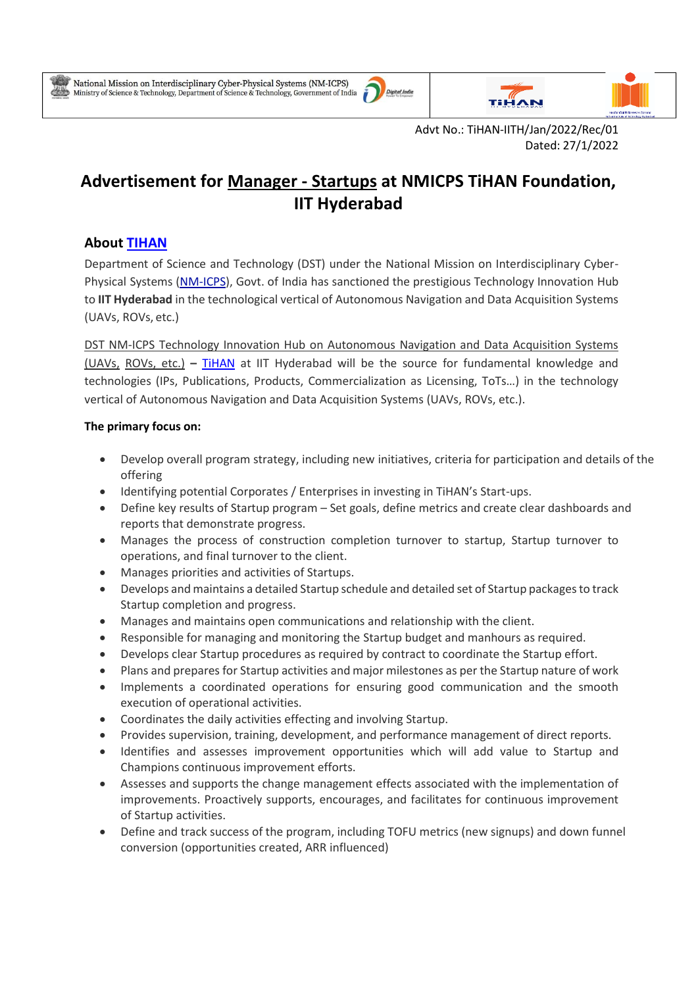۰





Advt No.: TiHAN-IITH/Jan/2022/Rec/01 Dated: 27/1/2022

# **Advertisement for Manager - Startups at NMICPS TiHAN Foundation, IIT Hyderabad**

## **About [TIHAN](https://tihan.iith.ac.in/)**

Department of Science and Technology (DST) under the National Mission on Interdisciplinary Cyber-Physical Systems [\(NM-ICPS\)](https://serbonline.in/ICPS/HomePage), Govt. of India has sanctioned the prestigious Technology Innovation Hub to **IIT Hyderabad** in the technological vertical of Autonomous Navigation and Data Acquisition Systems (UAVs, ROVs, etc.)

DST NM-ICPS Technology Innovation Hub on Autonomous Navigation and Data Acquisition Systems (UAVs, ROVs, etc.) **–** [TiHAN](https://tihan.iith.ac.in/) at IIT Hyderabad will be the source for fundamental knowledge and technologies (IPs, Publications, Products, Commercialization as Licensing, ToTs…) in the technology vertical of Autonomous Navigation and Data Acquisition Systems (UAVs, ROVs, etc.).

### **The primary focus on:**

- Develop overall program strategy, including new initiatives, criteria for participation and details of the offering
- Identifying potential Corporates / Enterprises in investing in TiHAN's Start-ups.
- Define key results of Startup program Set goals, define metrics and create clear dashboards and reports that demonstrate progress.
- Manages the process of construction completion turnover to startup, Startup turnover to operations, and final turnover to the client.
- Manages priorities and activities of Startups.
- Develops and maintains a detailed Startup schedule and detailed set of Startup packages to track Startup completion and progress.
- Manages and maintains open communications and relationship with the client.
- Responsible for managing and monitoring the Startup budget and manhours as required.
- Develops clear Startup procedures as required by contract to coordinate the Startup effort.
- Plans and prepares for Startup activities and major milestones as per the Startup nature of work
- Implements a coordinated operations for ensuring good communication and the smooth execution of operational activities.
- Coordinates the daily activities effecting and involving Startup.
- Provides supervision, training, development, and performance management of direct reports.
- Identifies and assesses improvement opportunities which will add value to Startup and Champions continuous improvement efforts.
- Assesses and supports the change management effects associated with the implementation of improvements. Proactively supports, encourages, and facilitates for continuous improvement of Startup activities.
- Define and track success of the program, including TOFU metrics (new signups) and down funnel conversion (opportunities created, ARR influenced)